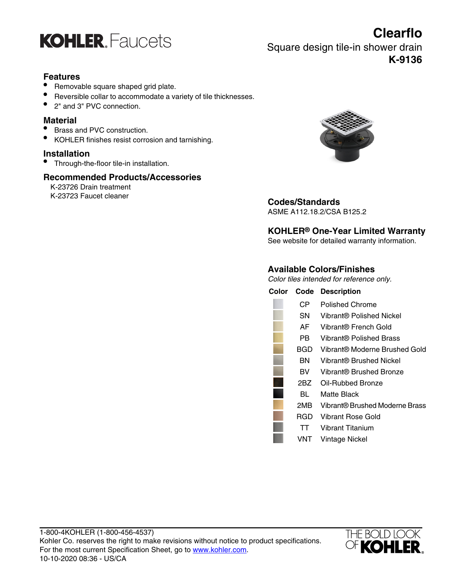

**Clearflo** Square design tile-in shower drain **K-9136**

## **Features**

- Removable square shaped grid plate.
- Reversible collar to accommodate a variety of tile thicknesses.
- 2" and 3" PVC connection.

#### **Material**

- Brass and PVC construction.
- KOHLER finishes resist corrosion and tarnishing.

## **Installation**

• Through-the-floor tile-in installation.

#### **Recommended Products/Accessories**

K-23726 Drain treatment



# K-23723 Faucet cleaner **Codes/Standards**

ASME A112.18.2/CSA B125.2

## **KOHLER® One-Year Limited Warranty**

See website for detailed warranty information.

## **Available Colors/Finishes**

Color tiles intended for reference only.

|       | <b>Color Code Description</b>  |
|-------|--------------------------------|
| СP    | Polished Chrome                |
| SN.   | Vibrant® Polished Nickel       |
| AFI   | Vibrant® French Gold           |
| PB.   | Vibrant® Polished Brass        |
| BGD - | Vibrant® Moderne Brushed Gold  |
| BN    | Vibrant® Brushed Nickel        |
| BV.   | Vibrant® Brushed Bronze        |
| 2BZ   | Oil-Rubbed Bronze              |
| BL.   | Matte Black                    |
| 2MB - | Vibrant® Brushed Moderne Brass |
| RGD   | Vibrant Rose Gold              |
| TT.   | Vibrant Titanium               |
| VNT   | Vintage Nickel                 |